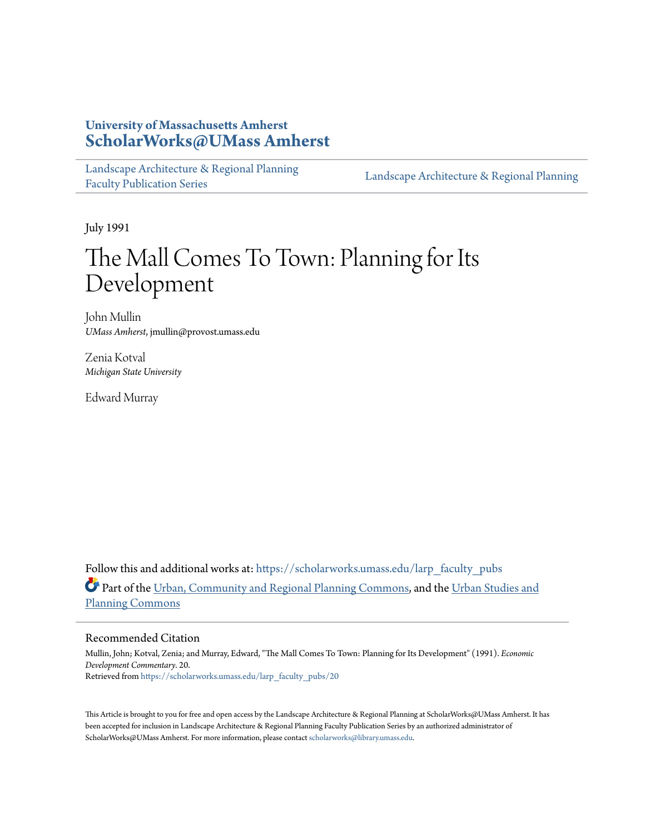## **University of Massachusetts Amherst [ScholarWorks@UMass Amherst](https://scholarworks.umass.edu?utm_source=scholarworks.umass.edu%2Flarp_faculty_pubs%2F20&utm_medium=PDF&utm_campaign=PDFCoverPages)**

[Landscape Architecture & Regional Planning](https://scholarworks.umass.edu/larp_faculty_pubs?utm_source=scholarworks.umass.edu%2Flarp_faculty_pubs%2F20&utm_medium=PDF&utm_campaign=PDFCoverPages) [Faculty Publication Series](https://scholarworks.umass.edu/larp_faculty_pubs?utm_source=scholarworks.umass.edu%2Flarp_faculty_pubs%2F20&utm_medium=PDF&utm_campaign=PDFCoverPages)

[Landscape Architecture & Regional Planning](https://scholarworks.umass.edu/larp?utm_source=scholarworks.umass.edu%2Flarp_faculty_pubs%2F20&utm_medium=PDF&utm_campaign=PDFCoverPages)

July 1991

# The Mall Comes To Town: Planning for Its Development

John Mullin *UMass Amherst*, jmullin@provost.umass.edu

Zenia Kotval *Michigan State University*

Edward Murray

Follow this and additional works at: [https://scholarworks.umass.edu/larp\\_faculty\\_pubs](https://scholarworks.umass.edu/larp_faculty_pubs?utm_source=scholarworks.umass.edu%2Flarp_faculty_pubs%2F20&utm_medium=PDF&utm_campaign=PDFCoverPages) Part of the [Urban, Community and Regional Planning Commons](http://network.bepress.com/hgg/discipline/776?utm_source=scholarworks.umass.edu%2Flarp_faculty_pubs%2F20&utm_medium=PDF&utm_campaign=PDFCoverPages), and the [Urban Studies and](http://network.bepress.com/hgg/discipline/436?utm_source=scholarworks.umass.edu%2Flarp_faculty_pubs%2F20&utm_medium=PDF&utm_campaign=PDFCoverPages) [Planning Commons](http://network.bepress.com/hgg/discipline/436?utm_source=scholarworks.umass.edu%2Flarp_faculty_pubs%2F20&utm_medium=PDF&utm_campaign=PDFCoverPages)

#### Recommended Citation

Mullin, John; Kotval, Zenia; and Murray, Edward, "The Mall Comes To Town: Planning for Its Development" (1991). *Economic Development Commentary*. 20. Retrieved from [https://scholarworks.umass.edu/larp\\_faculty\\_pubs/20](https://scholarworks.umass.edu/larp_faculty_pubs/20?utm_source=scholarworks.umass.edu%2Flarp_faculty_pubs%2F20&utm_medium=PDF&utm_campaign=PDFCoverPages)

This Article is brought to you for free and open access by the Landscape Architecture & Regional Planning at ScholarWorks@UMass Amherst. It has been accepted for inclusion in Landscape Architecture & Regional Planning Faculty Publication Series by an authorized administrator of ScholarWorks@UMass Amherst. For more information, please contact [scholarworks@library.umass.edu.](mailto:scholarworks@library.umass.edu)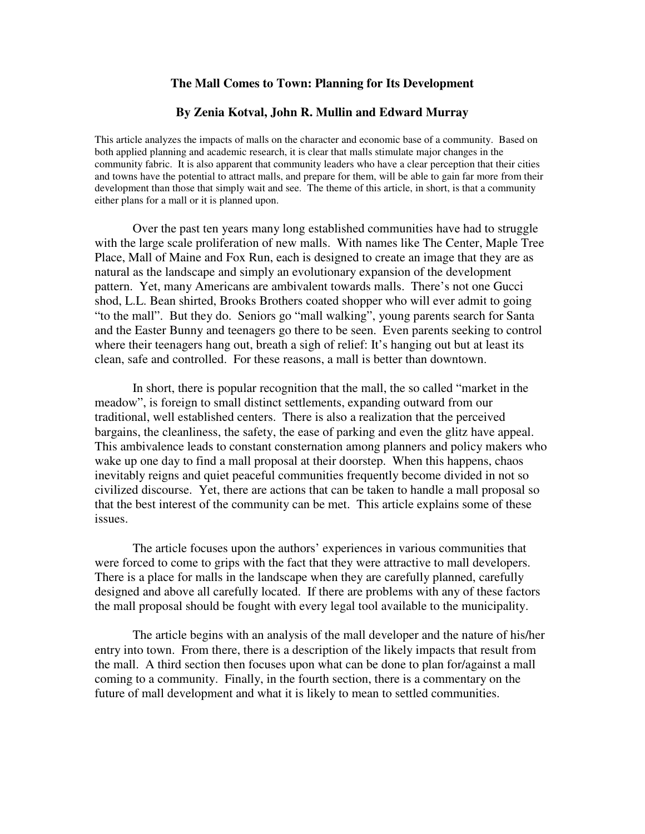#### **The Mall Comes to Town: Planning for Its Development**

#### **By Zenia Kotval, John R. Mullin and Edward Murray**

This article analyzes the impacts of malls on the character and economic base of a community. Based on both applied planning and academic research, it is clear that malls stimulate major changes in the community fabric. It is also apparent that community leaders who have a clear perception that their cities and towns have the potential to attract malls, and prepare for them, will be able to gain far more from their development than those that simply wait and see. The theme of this article, in short, is that a community either plans for a mall or it is planned upon.

 Over the past ten years many long established communities have had to struggle with the large scale proliferation of new malls. With names like The Center, Maple Tree Place, Mall of Maine and Fox Run, each is designed to create an image that they are as natural as the landscape and simply an evolutionary expansion of the development pattern. Yet, many Americans are ambivalent towards malls. There's not one Gucci shod, L.L. Bean shirted, Brooks Brothers coated shopper who will ever admit to going "to the mall". But they do. Seniors go "mall walking", young parents search for Santa and the Easter Bunny and teenagers go there to be seen. Even parents seeking to control where their teenagers hang out, breath a sigh of relief: It's hanging out but at least its clean, safe and controlled. For these reasons, a mall is better than downtown.

 In short, there is popular recognition that the mall, the so called "market in the meadow", is foreign to small distinct settlements, expanding outward from our traditional, well established centers. There is also a realization that the perceived bargains, the cleanliness, the safety, the ease of parking and even the glitz have appeal. This ambivalence leads to constant consternation among planners and policy makers who wake up one day to find a mall proposal at their doorstep. When this happens, chaos inevitably reigns and quiet peaceful communities frequently become divided in not so civilized discourse. Yet, there are actions that can be taken to handle a mall proposal so that the best interest of the community can be met. This article explains some of these issues.

 The article focuses upon the authors' experiences in various communities that were forced to come to grips with the fact that they were attractive to mall developers. There is a place for malls in the landscape when they are carefully planned, carefully designed and above all carefully located. If there are problems with any of these factors the mall proposal should be fought with every legal tool available to the municipality.

 The article begins with an analysis of the mall developer and the nature of his/her entry into town. From there, there is a description of the likely impacts that result from the mall. A third section then focuses upon what can be done to plan for/against a mall coming to a community. Finally, in the fourth section, there is a commentary on the future of mall development and what it is likely to mean to settled communities.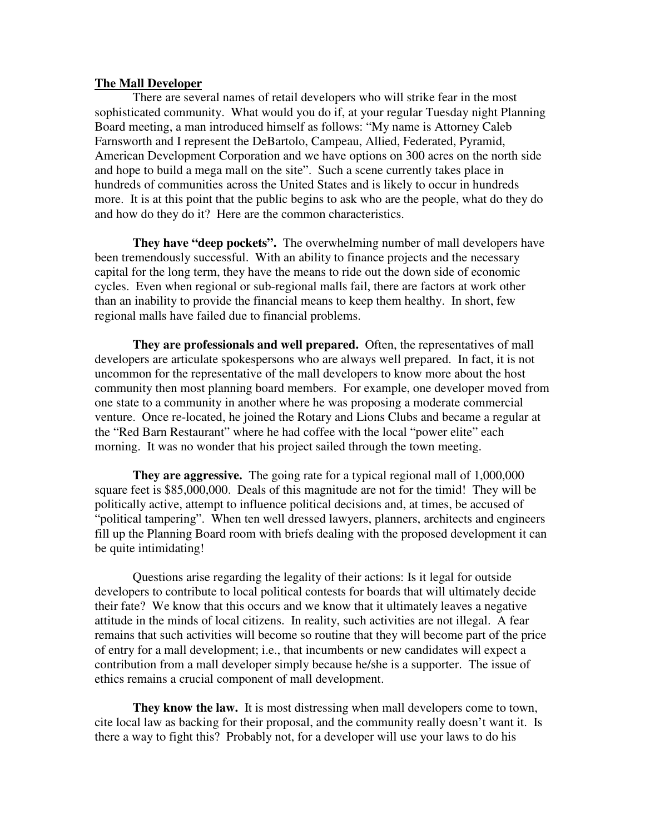#### **The Mall Developer**

 There are several names of retail developers who will strike fear in the most sophisticated community. What would you do if, at your regular Tuesday night Planning Board meeting, a man introduced himself as follows: "My name is Attorney Caleb Farnsworth and I represent the DeBartolo, Campeau, Allied, Federated, Pyramid, American Development Corporation and we have options on 300 acres on the north side and hope to build a mega mall on the site". Such a scene currently takes place in hundreds of communities across the United States and is likely to occur in hundreds more. It is at this point that the public begins to ask who are the people, what do they do and how do they do it? Here are the common characteristics.

**They have "deep pockets".** The overwhelming number of mall developers have been tremendously successful. With an ability to finance projects and the necessary capital for the long term, they have the means to ride out the down side of economic cycles. Even when regional or sub-regional malls fail, there are factors at work other than an inability to provide the financial means to keep them healthy. In short, few regional malls have failed due to financial problems.

**They are professionals and well prepared.** Often, the representatives of mall developers are articulate spokespersons who are always well prepared. In fact, it is not uncommon for the representative of the mall developers to know more about the host community then most planning board members. For example, one developer moved from one state to a community in another where he was proposing a moderate commercial venture. Once re-located, he joined the Rotary and Lions Clubs and became a regular at the "Red Barn Restaurant" where he had coffee with the local "power elite" each morning. It was no wonder that his project sailed through the town meeting.

**They are aggressive.** The going rate for a typical regional mall of 1,000,000 square feet is \$85,000,000. Deals of this magnitude are not for the timid! They will be politically active, attempt to influence political decisions and, at times, be accused of "political tampering". When ten well dressed lawyers, planners, architects and engineers fill up the Planning Board room with briefs dealing with the proposed development it can be quite intimidating!

 Questions arise regarding the legality of their actions: Is it legal for outside developers to contribute to local political contests for boards that will ultimately decide their fate? We know that this occurs and we know that it ultimately leaves a negative attitude in the minds of local citizens. In reality, such activities are not illegal. A fear remains that such activities will become so routine that they will become part of the price of entry for a mall development; i.e., that incumbents or new candidates will expect a contribution from a mall developer simply because he/she is a supporter. The issue of ethics remains a crucial component of mall development.

**They know the law.** It is most distressing when mall developers come to town, cite local law as backing for their proposal, and the community really doesn't want it. Is there a way to fight this? Probably not, for a developer will use your laws to do his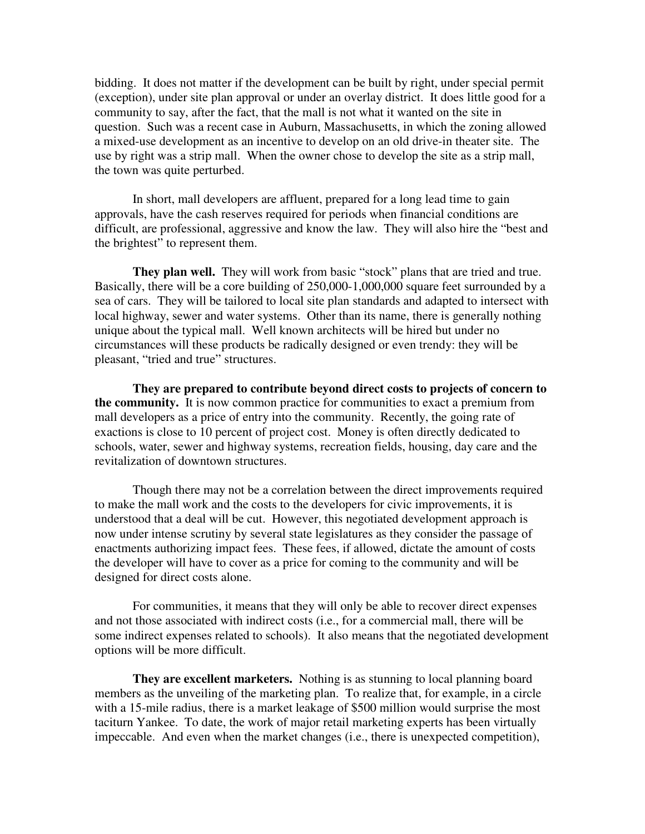bidding. It does not matter if the development can be built by right, under special permit (exception), under site plan approval or under an overlay district. It does little good for a community to say, after the fact, that the mall is not what it wanted on the site in question. Such was a recent case in Auburn, Massachusetts, in which the zoning allowed a mixed-use development as an incentive to develop on an old drive-in theater site. The use by right was a strip mall. When the owner chose to develop the site as a strip mall, the town was quite perturbed.

 In short, mall developers are affluent, prepared for a long lead time to gain approvals, have the cash reserves required for periods when financial conditions are difficult, are professional, aggressive and know the law. They will also hire the "best and the brightest" to represent them.

They plan well. They will work from basic "stock" plans that are tried and true. Basically, there will be a core building of 250,000-1,000,000 square feet surrounded by a sea of cars. They will be tailored to local site plan standards and adapted to intersect with local highway, sewer and water systems. Other than its name, there is generally nothing unique about the typical mall. Well known architects will be hired but under no circumstances will these products be radically designed or even trendy: they will be pleasant, "tried and true" structures.

 **They are prepared to contribute beyond direct costs to projects of concern to the community.** It is now common practice for communities to exact a premium from mall developers as a price of entry into the community. Recently, the going rate of exactions is close to 10 percent of project cost. Money is often directly dedicated to schools, water, sewer and highway systems, recreation fields, housing, day care and the revitalization of downtown structures.

 Though there may not be a correlation between the direct improvements required to make the mall work and the costs to the developers for civic improvements, it is understood that a deal will be cut. However, this negotiated development approach is now under intense scrutiny by several state legislatures as they consider the passage of enactments authorizing impact fees. These fees, if allowed, dictate the amount of costs the developer will have to cover as a price for coming to the community and will be designed for direct costs alone.

 For communities, it means that they will only be able to recover direct expenses and not those associated with indirect costs (i.e., for a commercial mall, there will be some indirect expenses related to schools). It also means that the negotiated development options will be more difficult.

**They are excellent marketers.** Nothing is as stunning to local planning board members as the unveiling of the marketing plan. To realize that, for example, in a circle with a 15-mile radius, there is a market leakage of \$500 million would surprise the most taciturn Yankee. To date, the work of major retail marketing experts has been virtually impeccable. And even when the market changes (i.e., there is unexpected competition),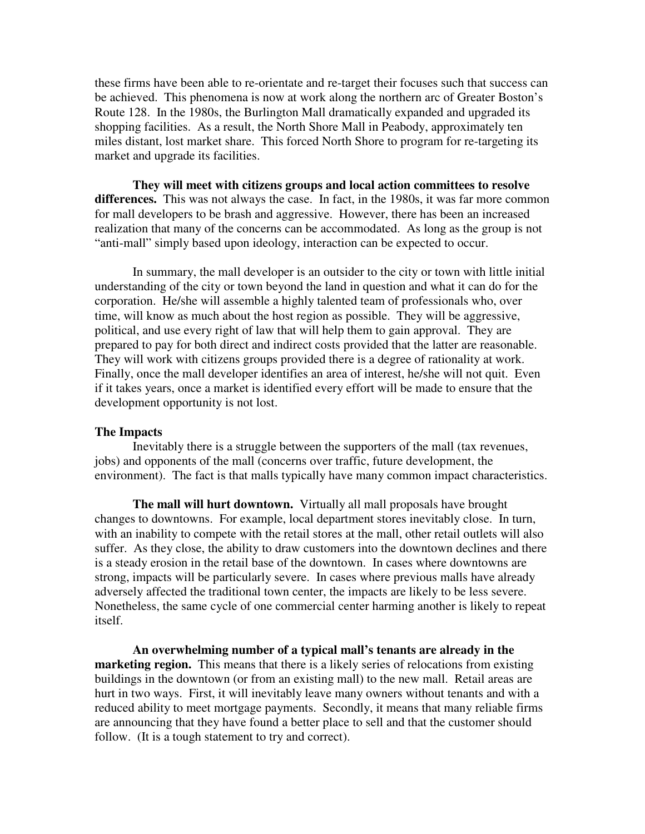these firms have been able to re-orientate and re-target their focuses such that success can be achieved. This phenomena is now at work along the northern arc of Greater Boston's Route 128. In the 1980s, the Burlington Mall dramatically expanded and upgraded its shopping facilities. As a result, the North Shore Mall in Peabody, approximately ten miles distant, lost market share. This forced North Shore to program for re-targeting its market and upgrade its facilities.

 **They will meet with citizens groups and local action committees to resolve differences.** This was not always the case. In fact, in the 1980s, it was far more common for mall developers to be brash and aggressive. However, there has been an increased realization that many of the concerns can be accommodated. As long as the group is not "anti-mall" simply based upon ideology, interaction can be expected to occur.

 In summary, the mall developer is an outsider to the city or town with little initial understanding of the city or town beyond the land in question and what it can do for the corporation. He/she will assemble a highly talented team of professionals who, over time, will know as much about the host region as possible. They will be aggressive, political, and use every right of law that will help them to gain approval. They are prepared to pay for both direct and indirect costs provided that the latter are reasonable. They will work with citizens groups provided there is a degree of rationality at work. Finally, once the mall developer identifies an area of interest, he/she will not quit. Even if it takes years, once a market is identified every effort will be made to ensure that the development opportunity is not lost.

#### **The Impacts**

 Inevitably there is a struggle between the supporters of the mall (tax revenues, jobs) and opponents of the mall (concerns over traffic, future development, the environment). The fact is that malls typically have many common impact characteristics.

**The mall will hurt downtown.** Virtually all mall proposals have brought changes to downtowns. For example, local department stores inevitably close. In turn, with an inability to compete with the retail stores at the mall, other retail outlets will also suffer. As they close, the ability to draw customers into the downtown declines and there is a steady erosion in the retail base of the downtown. In cases where downtowns are strong, impacts will be particularly severe. In cases where previous malls have already adversely affected the traditional town center, the impacts are likely to be less severe. Nonetheless, the same cycle of one commercial center harming another is likely to repeat itself.

 **An overwhelming number of a typical mall's tenants are already in the marketing region.** This means that there is a likely series of relocations from existing buildings in the downtown (or from an existing mall) to the new mall. Retail areas are hurt in two ways. First, it will inevitably leave many owners without tenants and with a reduced ability to meet mortgage payments. Secondly, it means that many reliable firms are announcing that they have found a better place to sell and that the customer should follow. (It is a tough statement to try and correct).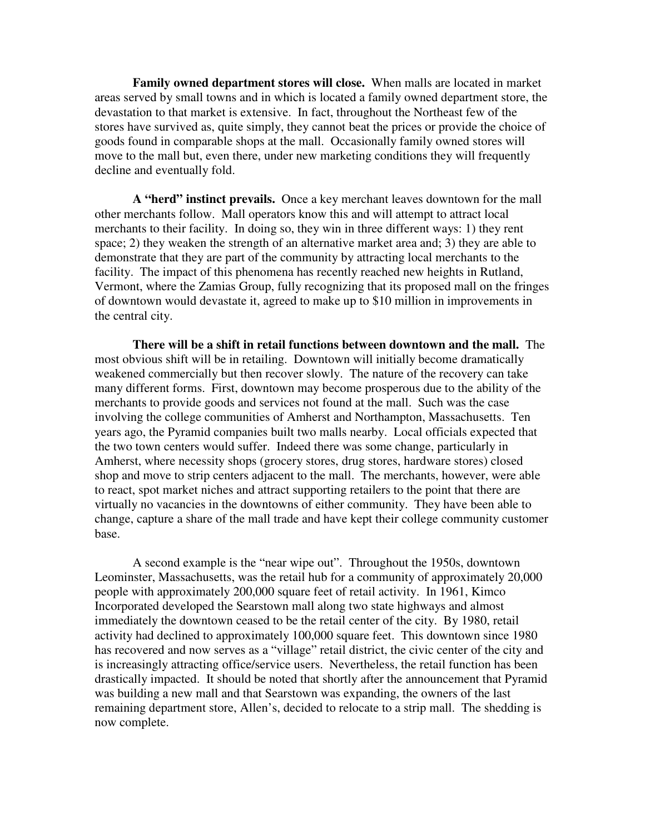**Family owned department stores will close.** When malls are located in market areas served by small towns and in which is located a family owned department store, the devastation to that market is extensive. In fact, throughout the Northeast few of the stores have survived as, quite simply, they cannot beat the prices or provide the choice of goods found in comparable shops at the mall. Occasionally family owned stores will move to the mall but, even there, under new marketing conditions they will frequently decline and eventually fold.

**A "herd" instinct prevails.** Once a key merchant leaves downtown for the mall other merchants follow. Mall operators know this and will attempt to attract local merchants to their facility. In doing so, they win in three different ways: 1) they rent space; 2) they weaken the strength of an alternative market area and; 3) they are able to demonstrate that they are part of the community by attracting local merchants to the facility. The impact of this phenomena has recently reached new heights in Rutland, Vermont, where the Zamias Group, fully recognizing that its proposed mall on the fringes of downtown would devastate it, agreed to make up to \$10 million in improvements in the central city.

**There will be a shift in retail functions between downtown and the mall.** The most obvious shift will be in retailing. Downtown will initially become dramatically weakened commercially but then recover slowly. The nature of the recovery can take many different forms. First, downtown may become prosperous due to the ability of the merchants to provide goods and services not found at the mall. Such was the case involving the college communities of Amherst and Northampton, Massachusetts. Ten years ago, the Pyramid companies built two malls nearby. Local officials expected that the two town centers would suffer. Indeed there was some change, particularly in Amherst, where necessity shops (grocery stores, drug stores, hardware stores) closed shop and move to strip centers adjacent to the mall. The merchants, however, were able to react, spot market niches and attract supporting retailers to the point that there are virtually no vacancies in the downtowns of either community. They have been able to change, capture a share of the mall trade and have kept their college community customer base.

 A second example is the "near wipe out". Throughout the 1950s, downtown Leominster, Massachusetts, was the retail hub for a community of approximately 20,000 people with approximately 200,000 square feet of retail activity. In 1961, Kimco Incorporated developed the Searstown mall along two state highways and almost immediately the downtown ceased to be the retail center of the city. By 1980, retail activity had declined to approximately 100,000 square feet. This downtown since 1980 has recovered and now serves as a "village" retail district, the civic center of the city and is increasingly attracting office/service users. Nevertheless, the retail function has been drastically impacted. It should be noted that shortly after the announcement that Pyramid was building a new mall and that Searstown was expanding, the owners of the last remaining department store, Allen's, decided to relocate to a strip mall. The shedding is now complete.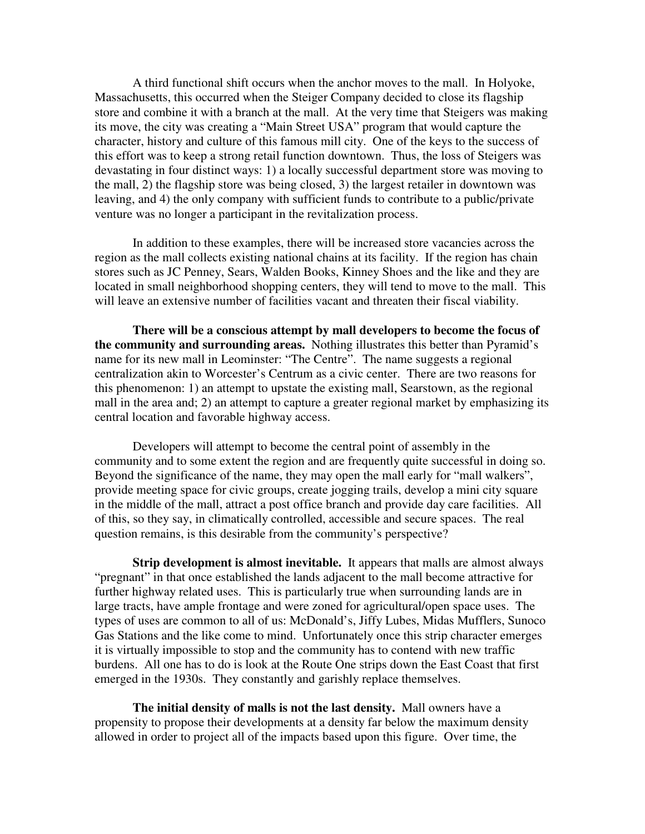A third functional shift occurs when the anchor moves to the mall. In Holyoke, Massachusetts, this occurred when the Steiger Company decided to close its flagship store and combine it with a branch at the mall. At the very time that Steigers was making its move, the city was creating a "Main Street USA" program that would capture the character, history and culture of this famous mill city. One of the keys to the success of this effort was to keep a strong retail function downtown. Thus, the loss of Steigers was devastating in four distinct ways: 1) a locally successful department store was moving to the mall, 2) the flagship store was being closed, 3) the largest retailer in downtown was leaving, and 4) the only company with sufficient funds to contribute to a public/private venture was no longer a participant in the revitalization process.

 In addition to these examples, there will be increased store vacancies across the region as the mall collects existing national chains at its facility. If the region has chain stores such as JC Penney, Sears, Walden Books, Kinney Shoes and the like and they are located in small neighborhood shopping centers, they will tend to move to the mall. This will leave an extensive number of facilities vacant and threaten their fiscal viability.

 **There will be a conscious attempt by mall developers to become the focus of the community and surrounding areas.** Nothing illustrates this better than Pyramid's name for its new mall in Leominster: "The Centre". The name suggests a regional centralization akin to Worcester's Centrum as a civic center. There are two reasons for this phenomenon: 1) an attempt to upstate the existing mall, Searstown, as the regional mall in the area and; 2) an attempt to capture a greater regional market by emphasizing its central location and favorable highway access.

 Developers will attempt to become the central point of assembly in the community and to some extent the region and are frequently quite successful in doing so. Beyond the significance of the name, they may open the mall early for "mall walkers", provide meeting space for civic groups, create jogging trails, develop a mini city square in the middle of the mall, attract a post office branch and provide day care facilities. All of this, so they say, in climatically controlled, accessible and secure spaces. The real question remains, is this desirable from the community's perspective?

**Strip development is almost inevitable.** It appears that malls are almost always "pregnant" in that once established the lands adjacent to the mall become attractive for further highway related uses. This is particularly true when surrounding lands are in large tracts, have ample frontage and were zoned for agricultural/open space uses. The types of uses are common to all of us: McDonald's, Jiffy Lubes, Midas Mufflers, Sunoco Gas Stations and the like come to mind. Unfortunately once this strip character emerges it is virtually impossible to stop and the community has to contend with new traffic burdens. All one has to do is look at the Route One strips down the East Coast that first emerged in the 1930s. They constantly and garishly replace themselves.

**The initial density of malls is not the last density.** Mall owners have a propensity to propose their developments at a density far below the maximum density allowed in order to project all of the impacts based upon this figure. Over time, the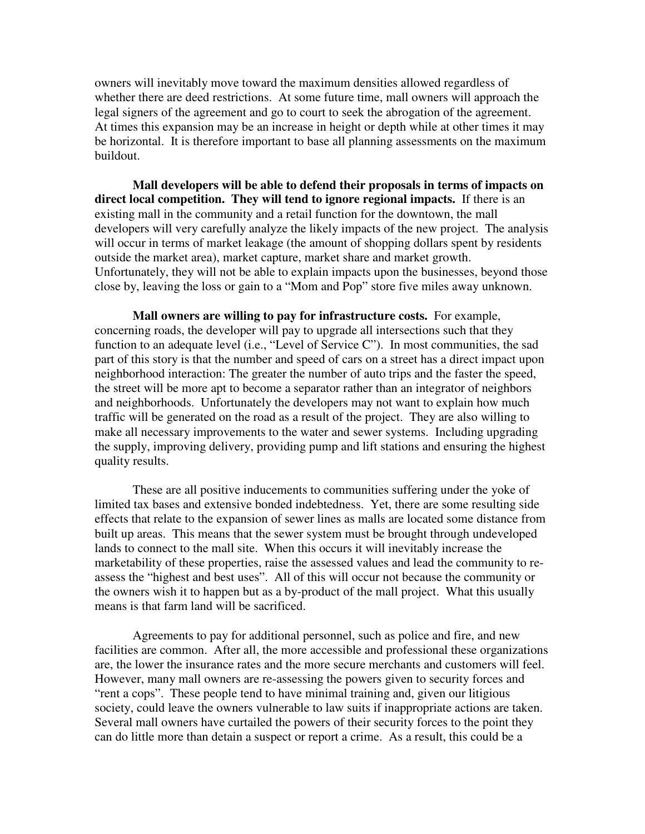owners will inevitably move toward the maximum densities allowed regardless of whether there are deed restrictions. At some future time, mall owners will approach the legal signers of the agreement and go to court to seek the abrogation of the agreement. At times this expansion may be an increase in height or depth while at other times it may be horizontal. It is therefore important to base all planning assessments on the maximum buildout.

 **Mall developers will be able to defend their proposals in terms of impacts on direct local competition. They will tend to ignore regional impacts.** If there is an existing mall in the community and a retail function for the downtown, the mall developers will very carefully analyze the likely impacts of the new project. The analysis will occur in terms of market leakage (the amount of shopping dollars spent by residents outside the market area), market capture, market share and market growth. Unfortunately, they will not be able to explain impacts upon the businesses, beyond those close by, leaving the loss or gain to a "Mom and Pop" store five miles away unknown.

**Mall owners are willing to pay for infrastructure costs.** For example, concerning roads, the developer will pay to upgrade all intersections such that they function to an adequate level (i.e., "Level of Service C"). In most communities, the sad part of this story is that the number and speed of cars on a street has a direct impact upon neighborhood interaction: The greater the number of auto trips and the faster the speed, the street will be more apt to become a separator rather than an integrator of neighbors and neighborhoods. Unfortunately the developers may not want to explain how much traffic will be generated on the road as a result of the project. They are also willing to make all necessary improvements to the water and sewer systems. Including upgrading the supply, improving delivery, providing pump and lift stations and ensuring the highest quality results.

 These are all positive inducements to communities suffering under the yoke of limited tax bases and extensive bonded indebtedness. Yet, there are some resulting side effects that relate to the expansion of sewer lines as malls are located some distance from built up areas. This means that the sewer system must be brought through undeveloped lands to connect to the mall site. When this occurs it will inevitably increase the marketability of these properties, raise the assessed values and lead the community to reassess the "highest and best uses". All of this will occur not because the community or the owners wish it to happen but as a by-product of the mall project. What this usually means is that farm land will be sacrificed.

 Agreements to pay for additional personnel, such as police and fire, and new facilities are common. After all, the more accessible and professional these organizations are, the lower the insurance rates and the more secure merchants and customers will feel. However, many mall owners are re-assessing the powers given to security forces and "rent a cops". These people tend to have minimal training and, given our litigious society, could leave the owners vulnerable to law suits if inappropriate actions are taken. Several mall owners have curtailed the powers of their security forces to the point they can do little more than detain a suspect or report a crime. As a result, this could be a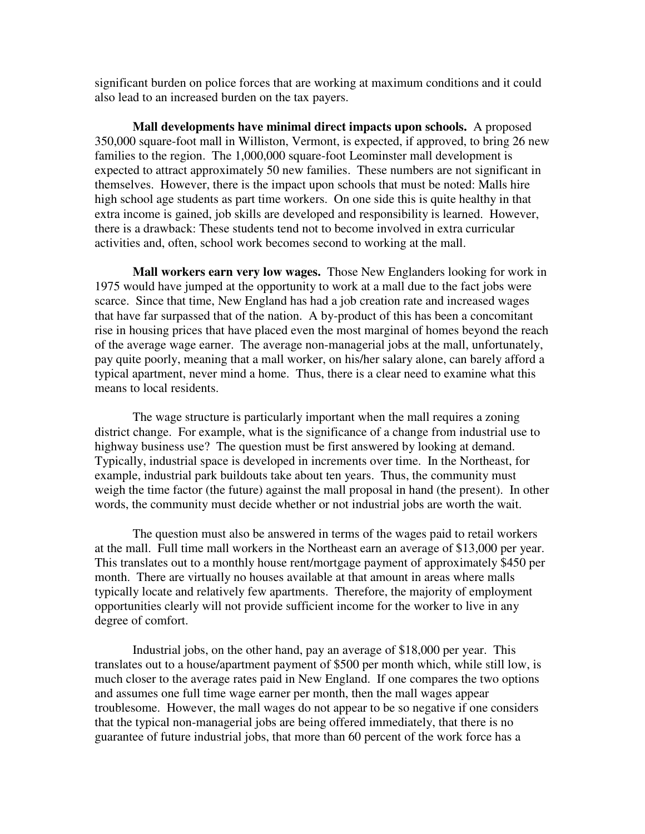significant burden on police forces that are working at maximum conditions and it could also lead to an increased burden on the tax payers.

**Mall developments have minimal direct impacts upon schools.** A proposed 350,000 square-foot mall in Williston, Vermont, is expected, if approved, to bring 26 new families to the region. The 1,000,000 square-foot Leominster mall development is expected to attract approximately 50 new families. These numbers are not significant in themselves. However, there is the impact upon schools that must be noted: Malls hire high school age students as part time workers. On one side this is quite healthy in that extra income is gained, job skills are developed and responsibility is learned. However, there is a drawback: These students tend not to become involved in extra curricular activities and, often, school work becomes second to working at the mall.

**Mall workers earn very low wages.** Those New Englanders looking for work in 1975 would have jumped at the opportunity to work at a mall due to the fact jobs were scarce. Since that time, New England has had a job creation rate and increased wages that have far surpassed that of the nation. A by-product of this has been a concomitant rise in housing prices that have placed even the most marginal of homes beyond the reach of the average wage earner. The average non-managerial jobs at the mall, unfortunately, pay quite poorly, meaning that a mall worker, on his/her salary alone, can barely afford a typical apartment, never mind a home. Thus, there is a clear need to examine what this means to local residents.

 The wage structure is particularly important when the mall requires a zoning district change. For example, what is the significance of a change from industrial use to highway business use? The question must be first answered by looking at demand. Typically, industrial space is developed in increments over time. In the Northeast, for example, industrial park buildouts take about ten years. Thus, the community must weigh the time factor (the future) against the mall proposal in hand (the present). In other words, the community must decide whether or not industrial jobs are worth the wait.

 The question must also be answered in terms of the wages paid to retail workers at the mall. Full time mall workers in the Northeast earn an average of \$13,000 per year. This translates out to a monthly house rent/mortgage payment of approximately \$450 per month. There are virtually no houses available at that amount in areas where malls typically locate and relatively few apartments. Therefore, the majority of employment opportunities clearly will not provide sufficient income for the worker to live in any degree of comfort.

 Industrial jobs, on the other hand, pay an average of \$18,000 per year. This translates out to a house/apartment payment of \$500 per month which, while still low, is much closer to the average rates paid in New England. If one compares the two options and assumes one full time wage earner per month, then the mall wages appear troublesome. However, the mall wages do not appear to be so negative if one considers that the typical non-managerial jobs are being offered immediately, that there is no guarantee of future industrial jobs, that more than 60 percent of the work force has a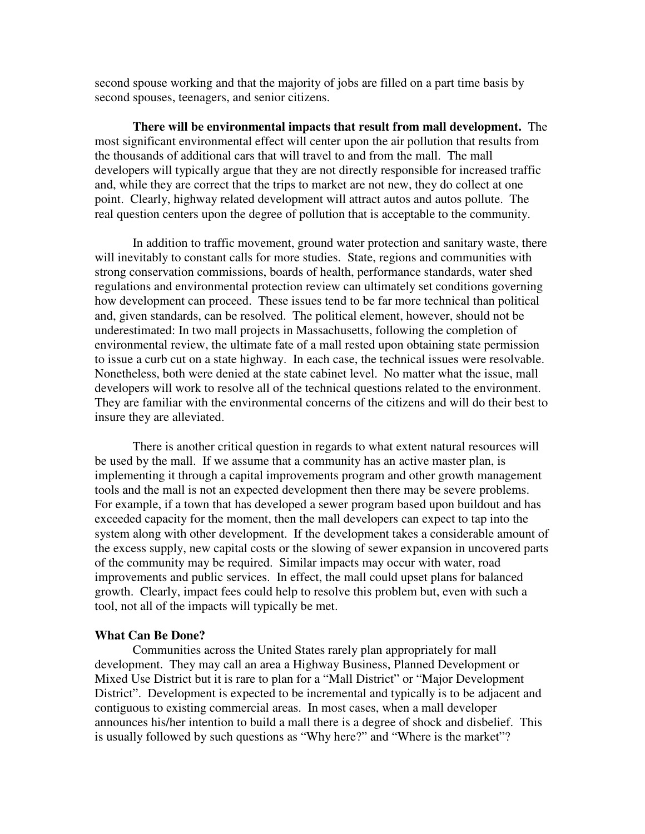second spouse working and that the majority of jobs are filled on a part time basis by second spouses, teenagers, and senior citizens.

**There will be environmental impacts that result from mall development.** The most significant environmental effect will center upon the air pollution that results from the thousands of additional cars that will travel to and from the mall. The mall developers will typically argue that they are not directly responsible for increased traffic and, while they are correct that the trips to market are not new, they do collect at one point. Clearly, highway related development will attract autos and autos pollute. The real question centers upon the degree of pollution that is acceptable to the community.

 In addition to traffic movement, ground water protection and sanitary waste, there will inevitably to constant calls for more studies. State, regions and communities with strong conservation commissions, boards of health, performance standards, water shed regulations and environmental protection review can ultimately set conditions governing how development can proceed. These issues tend to be far more technical than political and, given standards, can be resolved. The political element, however, should not be underestimated: In two mall projects in Massachusetts, following the completion of environmental review, the ultimate fate of a mall rested upon obtaining state permission to issue a curb cut on a state highway. In each case, the technical issues were resolvable. Nonetheless, both were denied at the state cabinet level. No matter what the issue, mall developers will work to resolve all of the technical questions related to the environment. They are familiar with the environmental concerns of the citizens and will do their best to insure they are alleviated.

 There is another critical question in regards to what extent natural resources will be used by the mall. If we assume that a community has an active master plan, is implementing it through a capital improvements program and other growth management tools and the mall is not an expected development then there may be severe problems. For example, if a town that has developed a sewer program based upon buildout and has exceeded capacity for the moment, then the mall developers can expect to tap into the system along with other development. If the development takes a considerable amount of the excess supply, new capital costs or the slowing of sewer expansion in uncovered parts of the community may be required. Similar impacts may occur with water, road improvements and public services. In effect, the mall could upset plans for balanced growth. Clearly, impact fees could help to resolve this problem but, even with such a tool, not all of the impacts will typically be met.

#### **What Can Be Done?**

 Communities across the United States rarely plan appropriately for mall development. They may call an area a Highway Business, Planned Development or Mixed Use District but it is rare to plan for a "Mall District" or "Major Development District". Development is expected to be incremental and typically is to be adjacent and contiguous to existing commercial areas. In most cases, when a mall developer announces his/her intention to build a mall there is a degree of shock and disbelief. This is usually followed by such questions as "Why here?" and "Where is the market"?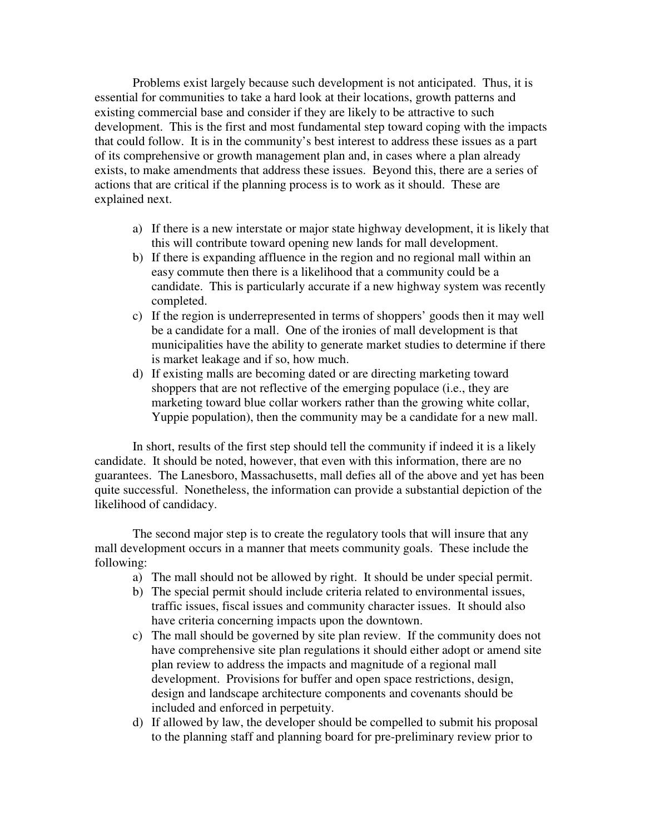Problems exist largely because such development is not anticipated. Thus, it is essential for communities to take a hard look at their locations, growth patterns and existing commercial base and consider if they are likely to be attractive to such development. This is the first and most fundamental step toward coping with the impacts that could follow. It is in the community's best interest to address these issues as a part of its comprehensive or growth management plan and, in cases where a plan already exists, to make amendments that address these issues. Beyond this, there are a series of actions that are critical if the planning process is to work as it should. These are explained next.

- a) If there is a new interstate or major state highway development, it is likely that this will contribute toward opening new lands for mall development.
- b) If there is expanding affluence in the region and no regional mall within an easy commute then there is a likelihood that a community could be a candidate. This is particularly accurate if a new highway system was recently completed.
- c) If the region is underrepresented in terms of shoppers' goods then it may well be a candidate for a mall. One of the ironies of mall development is that municipalities have the ability to generate market studies to determine if there is market leakage and if so, how much.
- d) If existing malls are becoming dated or are directing marketing toward shoppers that are not reflective of the emerging populace (i.e., they are marketing toward blue collar workers rather than the growing white collar, Yuppie population), then the community may be a candidate for a new mall.

In short, results of the first step should tell the community if indeed it is a likely candidate. It should be noted, however, that even with this information, there are no guarantees. The Lanesboro, Massachusetts, mall defies all of the above and yet has been quite successful. Nonetheless, the information can provide a substantial depiction of the likelihood of candidacy.

The second major step is to create the regulatory tools that will insure that any mall development occurs in a manner that meets community goals. These include the following:

- a) The mall should not be allowed by right. It should be under special permit.
- b) The special permit should include criteria related to environmental issues, traffic issues, fiscal issues and community character issues. It should also have criteria concerning impacts upon the downtown.
- c) The mall should be governed by site plan review. If the community does not have comprehensive site plan regulations it should either adopt or amend site plan review to address the impacts and magnitude of a regional mall development. Provisions for buffer and open space restrictions, design, design and landscape architecture components and covenants should be included and enforced in perpetuity.
- d) If allowed by law, the developer should be compelled to submit his proposal to the planning staff and planning board for pre-preliminary review prior to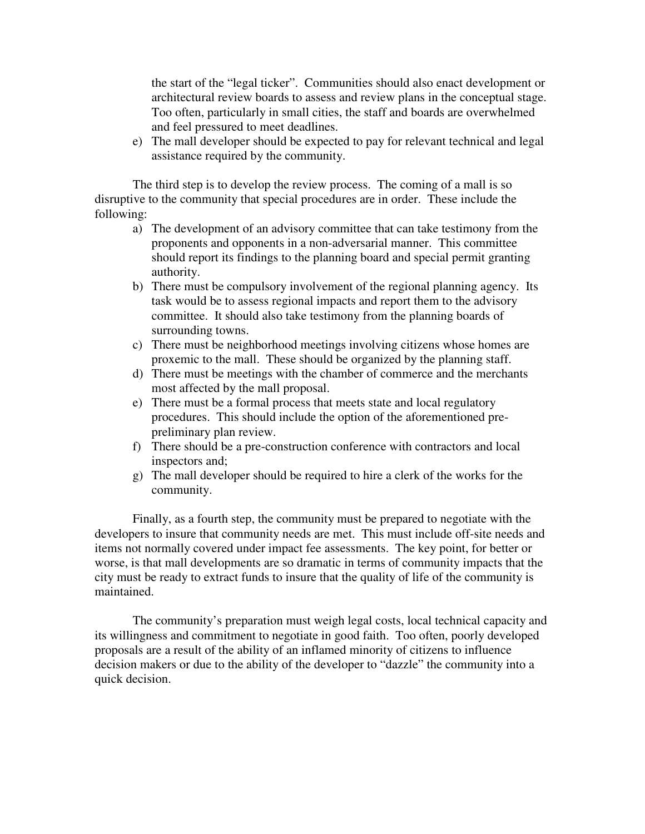the start of the "legal ticker". Communities should also enact development or architectural review boards to assess and review plans in the conceptual stage. Too often, particularly in small cities, the staff and boards are overwhelmed and feel pressured to meet deadlines.

e) The mall developer should be expected to pay for relevant technical and legal assistance required by the community.

The third step is to develop the review process. The coming of a mall is so disruptive to the community that special procedures are in order. These include the following:

- a) The development of an advisory committee that can take testimony from the proponents and opponents in a non-adversarial manner. This committee should report its findings to the planning board and special permit granting authority.
- b) There must be compulsory involvement of the regional planning agency. Its task would be to assess regional impacts and report them to the advisory committee. It should also take testimony from the planning boards of surrounding towns.
- c) There must be neighborhood meetings involving citizens whose homes are proxemic to the mall. These should be organized by the planning staff.
- d) There must be meetings with the chamber of commerce and the merchants most affected by the mall proposal.
- e) There must be a formal process that meets state and local regulatory procedures. This should include the option of the aforementioned prepreliminary plan review.
- f) There should be a pre-construction conference with contractors and local inspectors and;
- g) The mall developer should be required to hire a clerk of the works for the community.

Finally, as a fourth step, the community must be prepared to negotiate with the developers to insure that community needs are met. This must include off-site needs and items not normally covered under impact fee assessments. The key point, for better or worse, is that mall developments are so dramatic in terms of community impacts that the city must be ready to extract funds to insure that the quality of life of the community is maintained.

 The community's preparation must weigh legal costs, local technical capacity and its willingness and commitment to negotiate in good faith. Too often, poorly developed proposals are a result of the ability of an inflamed minority of citizens to influence decision makers or due to the ability of the developer to "dazzle" the community into a quick decision.